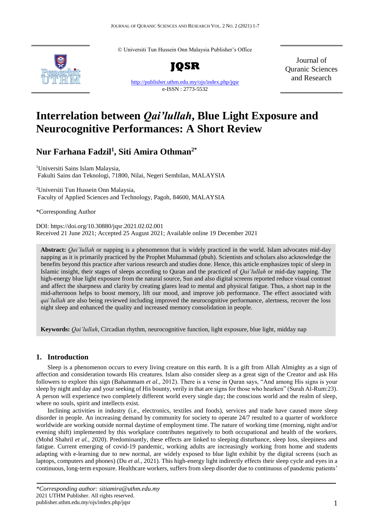© Universiti Tun Hussein Onn Malaysia Publisher's Office



**JQSR**

[http://publisher.uthm.edu.my/ojs/index.php/jqsr](https://publisher.uthm.edu.my/ojs/index.php/jqsr) e-ISSN : 2773-5532

Journal of Quranic Sciences and Research

# **Interrelation between** *Qai'lullah***, Blue Light Exposure and Neurocognitive Performances: A Short Review**

## **Nur Farhana Fadzil<sup>1</sup> , Siti Amira Othman2\***

<sup>1</sup>Universiti Sains Islam Malaysia, Fakulti Sains dan Teknologi, 71800, Nilai, Negeri Sembilan, MALAYSIA

<sup>2</sup>Universiti Tun Hussein Onn Malaysia, Faculty of Applied Sciences and Technology, Pagoh, 84600, MALAYSIA

\*Corresponding Author

DOI: https://doi.org/10.30880/jqsr.2021.02.02.001 Received 21 June 2021; Accepted 25 August 2021; Available online 19 December 2021

**Abstract:** *Qai'lullah* or napping is a phenomenon that is widely practiced in the world. Islam advocates mid-day napping as it is primarily practiced by the Prophet Muhammad (pbuh). Scientists and scholars also acknowledge the benefits beyond this practice after various research and studies done. Hence, this article emphasizes topic of sleep in Islamic insight, their stages of sleeps according to Quran and the practiced of *Qai'lullah* or mid-day napping. The high-energy blue light exposure from the natural source, Sun and also digital screens reported reduce visual contrast and affect the sharpness and clarity by creating glares lead to mental and physical fatigue. Thus, a short nap in the mid-afternoon helps to boost memory, lift our mood, and improve job performance. The effect associated with *qai'lullah* are also being reviewed including improved the neurocognitive performance, alertness, recover the loss night sleep and enhanced the quality and increased memory consolidation in people.

**Keywords:** *Qai'lullah*, Circadian rhythm, neurocognitive function, light exposure, blue light, midday nap

### **1. Introduction**

Sleep is a phenomenon occurs to every living creature on this earth. It is a gift from Allah Almighty as a sign of affection and consideration towards His creatures. Islam also consider sleep as a great sign of the Creator and ask His followers to explore this sign (Bahammam *et al.,* 2012). There is a verse in Quran says, "And among His signs is your sleep by night and day and your seeking of His bounty, verily in that are signs for those who hearken" (Surah Al-Rum:23). A person will experience two completely different world every single day; the conscious world and the realm of sleep, where no souls, spirit and intellects exist.

Inclining activities in industry (i.e., electronics, textiles and foods), services and trade have caused more sleep disorder in people. An increasing demand by community for society to operate 24/7 resulted to a quarter of workforce worldwide are working outside normal daytime of employment time. The nature of working time (morning, night and/or evening shift) implemented by this workplace contributes negatively to both occupational and health of the workers. (Mohd Shahril *et al.,* 2020). Predominantly, these effects are linked to sleeping disturbance, sleep loss, sleepiness and fatigue. Current emerging of covid-19 pandemic, working adults are increasingly working from home and students adapting with e-learning due to new normal, are widely exposed to blue light exhibit by the digital screens (such as laptops, computers and phones) (Du *et al.,* 2021). This high-energy light indirectly effects their sleep cycle and eyes in a continuous, long-term exposure. Healthcare workers, suffers from sleep disorder due to continuous of pandemic patients'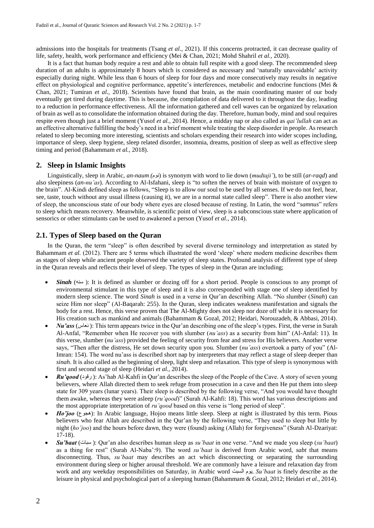admissions into the hospitals for treatments (Tsang *et al.,* 2021). If this concerns protracted, it can decrease quality of life, safety, health, work performance and efficiency (Mei & Chan, 2021; Mohd Shahril *et al.,* 2020).

It is a fact that human body require a rest and able to obtain full respite with a good sleep. The recommended sleep duration of an adults is approximately 8 hours which is considered as necessary and 'naturally unavoidable' activity especially during night. While less than 6 hours of sleep for four days and more consecutively may results in negative effect on physiological and cognitive performance, appetite's interferences, metabolic and endocrine functions (Mei & Chan, 2021; Tumiran *et al.,* 2018). Scientists have found that brain, as the main coordinating master of our body eventually get tired during daytime. This is because, the compilation of data delivered to it throughout the day, leading to a reduction in performance effectiveness. All the information gathered and cell waves can be organized by relaxation of brain as well as to consolidate the information obtained during the day. Therefore, human body, mind and soul requires respite even though just a brief moment (Yusof *et al.,* 2014). Hence, a midday nap or also called as *qai'lullah* can act as an effective alternative fulfilling the body's need in a brief moment while treating the sleep disorder in people. As research related to sleep becoming more interesting, scientists and scholars expending their research into wider scopes including, importance of sleep, sleep hygiene, sleep related disorder, insomnia, dreams, position of sleep as well as effective sleep timing and period (Bahammam *et al.,* 2018).

### **2. Sleep in Islamic Insights**

Linguistically, sleep in Arabic, *an-naum (*نوم (is synonym with word to lie down (*mudtaji'*), to be still (*ar-raqd*) and also sleepiness (*an-nu'as*). According to Al-Isfahani, sleep is "to soften the nerves of brain with moisture of oxygen to the brain". Al-Kindi defined sleep as follows, "Sleep is to allow our soul to be used by all senses. If we do not feel, hear, see, taste, touch without any usual illness (causing it), we are in a normal state called sleep". There is also another view of sleep, the unconscious state of our body where eyes are closed because of resting. In Latin, the word "*samnus*" refers to sleep which means recovery. Meanwhile, is scientific point of view, sleep is a subconscious state where application of sensorics or other stimulants can be used to awakened a person (Yusof *et al.,* 2014).

### **2.1. Types of Sleep based on the Quran**

In the Quran, the term "sleep" is often described by several diverse terminology and interpretation as stated by Bahammam *et al.* (2012). There are 5 terms which illustrated the word 'sleep' where modern medicine describes them as stages of sleep while ancient people observed the variety of sleep states. Profound analysis of different type of sleep in the Quran reveals and reflects their level of sleep. The types of sleep in the Quran are including;

- *Sinah* (سنه): It is defined as slumber or dozing off for a short period. People is conscious to any prompt of environmental stimulant in this type of sleep and it is also corresponded with stage one of sleep identified by modern sleep science. The word *Sinah* is used in a verse in Qur'an describing Allah. "No slumber (*Sinah*) can seize Him nor sleep" (Al-Baqarah: 255). In the Quran, sleep indicates weakness manifestation and signals the body for a rest. Hence, this verse proven that The Al-Mighty does not sleep nor doze off while it is necessary for His creation such as mankind and animals (Bahammam & Gozal, 2012; Heidari, Norouzadeh, & Abbasi, 2014).
- *Nu'ass* (نعاس): This term appears twice in the Qur'an describing one of the sleep's types. First, the verse in Surah Al-Anfal, "Remember when He recover you with slumber (*nu'ass*) as a security from him" (Al-Anfal: 11). In this verse, slumber (*nu'ass*) provided the feeling of security from fear and stress for His believers. Another verse says, "Then after the distress, He set down security upon you. Slumber (*nu'ass*) overtook a party of you" (Al-Imran: 154). The word nu'ass is described short nap by interpreters that may reflect a stage of sleep deeper than *sinah*. It is also called as the beginning of sleep, light sleep and relaxation. This type of sleep is synonymous with first and second stage of sleep (Heidari *et al.,* 2014).
- *Ru'qood* (رقود): As'hab Al-Kahfi in Qur'an describes the sleep of the People of the Cave. A story of seven young believers, where Allah directed them to seek refuge from prosecution in a cave and then He put them into sleep state for 309 years (lunar years). Their sleep is described by the following verse, "And you would have thought them awake, whereas they were asleep (*ru'qood*)" (Surah Al-Kahfi: 18). This word has various descriptions and the most appropriate interpretation of *ru'qood* based on this verse is "long period of sleep".
- *Ho'joo* (مجوع): In Arabic language, Hojoo means little sleep. Sleep at night is illustrated by this term. Pious believers who fear Allah are described in the Qur'an by the following verse, "They used to sleep but little by night (*ho'joo*) and the hours before dawn, they were (found) asking (Allah) for forgiveness" (Surah Al-Dzariyat: 17-18).
- *Su'baat* (سبات( : Qur'an also describes human sleep as *su'baat* in one verse. "And we made you sleep (*su'baat*) as a thing for rest" (Surah Al-Naba':9). The word *su'baat* is derived from Arabic word, *sabt* that means disconnecting. Thus, *su'baat* may describes an act which disconnecting or separating the surrounding environment during sleep or higher arousal threshold. We are commonly have a leisure and relaxation day from work and any weekday responsibilities on Saturday, in Arabic word السبت يوم. *Su'baat* is finely describe as the leisure in physical and psychological part of a sleeping human (Bahammam & Gozal, 2012; Heidari *et al.,* 2014).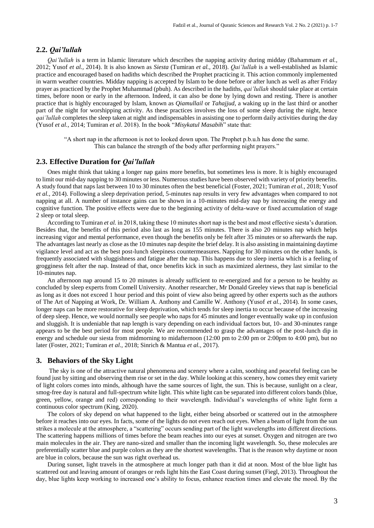### **2.2.** *Qai'lullah*

*Qai'lullah* is a term in Islamic literature which describes the napping activity during midday (Bahammam *et al.,* 2012; Yusof *et al.,* 2014). It is also known as *Siesta* (Tumiran *et al.,* 2018). *Qai'lullah* is a well-established as Islamic practice and encouraged based on hadiths which described the Prophet practicing it. This action commonly implemented in warm weather countries. Midday napping is accepted by Islam to be done before or after lunch as well as after Friday prayer as practiced by the Prophet Muhammad (pbuh). As described in the hadiths, *qai'lullah* should take place at certain times, before noon or early in the afternoon. Indeed, it can also be done by lying down and resting. There is another practice that is highly encouraged by Islam, known as *Qiamullail* or *Tahajjud*, a waking up in the last third or another part of the night for worshipping activity. As these practices involves the loss of some sleep during the night, hence *qai'lullah* completes the sleep taken at night and indispensables in assisting one to perform daily activities during the day (Yusof *et al.,* 2014; Tumiran *et al*. 2018). In the book "*Misykatul Masabih*" state that:

"A short nap in the afternoon is not to looked down upon. The Prophet p.b.u.h has done the same. This can balance the strength of the body after performing night prayers."

### **2.3. Effective Duration for** *Qai'lullah*

Ones might think that taking a longer nap gains more benefits, but sometimes less is more. It is highly encouraged to limit our mid-day napping to 30 minutes or less. Numerous studies have been observed with variety of priority benefits. A study found that naps last between 10 to 30 minutes often the best beneficial (Foster, 2021; Tumiran *et al.,* 2018; Yusof *et al.,* 2014). Following a sleep deprivation period, 5-minutes nap results in very few advantages when compared to not napping at all. A number of instance gains can be shown in a 10-minutes mid-day nap by increasing the energy and cognitive function. The positive effects were due to the beginning activity of delta-wave or fixed accumulation of stage 2 sleep or total sleep.

According to Tumiran *et al.* in 2018, taking these 10 minutes short nap is the best and most effective siesta's duration. Besides that, the benefits of this period also last as long as 155 minutes. There is also 20 minutes nap which helps increasing vigor and mental performance, even though the benefits only be felt after 35 minutes or so afterwards the nap. The advantages last nearly as close as the 10 minutes nap despite the brief delay. It is also assisting in maintaining daytime vigilance level and act as the best post-lunch sleepiness countermeasures. Napping for 30 minutes on the other hands, is frequently associated with sluggishness and fatigue after the nap. This happens due to sleep inertia which is a feeling of grogginess felt after the nap. Instead of that, once benefits kick in such as maximized alertness, they last similar to the 10-minutes nap.

An afternoon nap around 15 to 20 minutes is already sufficient to re-energized and for a person to be healthy as concluded by sleep experts from Comell University. Another researcher, Mr Donald Greeley views that nap is beneficial as long as it does not exceed 1 hour period and this point of view also being agreed by other experts such as the authors of The Art of Napping at Work, Dr. William A. Anthony and Camille W. Anthony (Yusof *et al.,* 2014). In some cases, longer naps can be more restorative for sleep deprivation, which tends for sleep inertia to occur because of the increasing of deep sleep. Hence, we would normally see people who naps for 45 minutes and longer eventually wake up in confusion and sluggish. It is undeniable that nap length is vary depending on each individual factors but, 10- and 30-minutes range appears to be the best period for most people. We are recommended to grasp the advantages of the post-lunch dip in energy and schedule our siesta from midmorning to midafternoon (12:00 pm to 2:00 pm or 2:00pm to 4:00 pm), but no later (Foster, 2021; Tumiran *et al.,* 2018; Sinrich & Mantua *et al.,* 2017).

### **3. Behaviors of the Sky Light**

The sky is one of the attractive natural phenomena and scenery where a calm, soothing and peaceful feeling can be found just by sitting and observing them rise or set in the day. While looking at this scenery, how comes they emit variety of light colors comes into minds, although have the same sources of light, the sun. This is because, sunlight on a clear, smog-free day is natural and full-spectrum white light. This white light can be separated into different colors bands (blue, green, yellow, orange and red) corresponding to their wavelength. Individual's wavelengths of white light form a continuous color spectrum (King, 2020).

The colors of sky depend on what happened to the light, either being absorbed or scattered out in the atmosphere before it reaches into our eyes. In facts, some of the lights do not even reach out eyes. When a beam of light from the sun strikes a molecule at the atmosphere, a "scattering" occurs sending part of the light wavelengths into different directions. The scattering happens millions of times before the beam reaches into our eyes at sunset. Oxygen and nitrogen are two main molecules in the air. They are nano-sized and smaller than the incoming light wavelength. So, these molecules are preferentially scatter blue and purple colors as they are the shortest wavelengths. That is the reason why daytime or noon are blue in colors, because the sun was right overhead us.

During sunset, light travels in the atmosphere at much longer path than it did at noon. Most of the blue light has scattered out and leaving amount of oranges or reds light hits the East Coast during sunset (Fiegl, 2013). Throughout the day, blue lights keep working to increased one's ability to focus, enhance reaction times and elevate the mood. By the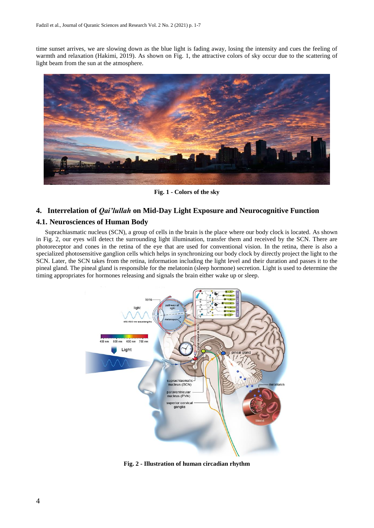time sunset arrives, we are slowing down as the blue light is fading away, losing the intensity and cues the feeling of warmth and relaxation (Hakimi, 2019). As shown on Fig. 1, the attractive colors of sky occur due to the scattering of light beam from the sun at the atmosphere.



**Fig. 1 - Colors of the sky**

### **4. Interrelation of** *Qai'lullah* **on Mid-Day Light Exposure and Neurocognitive Function**

### **4.1. Neurosciences of Human Body**

Suprachiasmatic nucleus (SCN), a group of cells in the brain is the place where our body clock is located. As shown in Fig. 2, our eyes will detect the surrounding light illumination, transfer them and received by the SCN. There are photoreceptor and cones in the retina of the eye that are used for conventional vision. In the retina, there is also a specialized photosensitive ganglion cells which helps in synchronizing our body clock by directly project the light to the SCN. Later, the SCN takes from the retina, information including the light level and their duration and passes it to the pineal gland. The pineal gland is responsible for the melatonin (sleep hormone) secretion. Light is used to determine the timing appropriates for hormones releasing and signals the brain either wake up or sleep.



**Fig. 2 - Illustration of human circadian rhythm**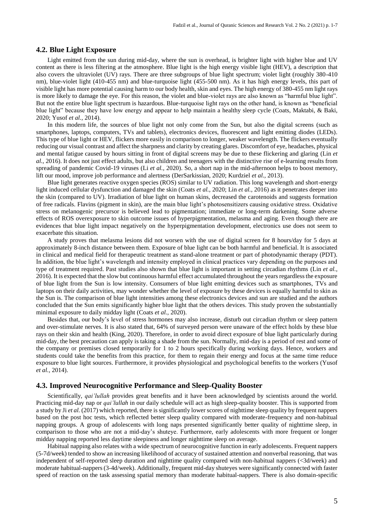### **4.2. Blue Light Exposure**

Light emitted from the sun during mid-day, where the sun is overhead, is brighter light with higher blue and UV content as there is less filtering at the atmosphere. Blue light is the high energy visible light (HEV), a description that also covers the ultraviolet (UV) rays. There are three subgroups of blue light spectrum; violet light (roughly 380-410 nm), blue-violet light (410-455 nm) and blue-turquoise light (455-500 nm). As it has high energy levels, this part of visible light has more potential causing harm to our body health, skin and eyes. The high energy of 380-455 nm light rays is more likely to damage the eye. For this reason, the violet and blue-violet rays are also known as "harmful blue light". But not the entire blue light spectrum is hazardous. Blue-turquoise light rays on the other hand, is known as "beneficial blue light" because they have low energy and appear to help maintain a healthy sleep cycle (Coats, Maktabi, & Baki, 2020; Yusof *et al.,* 2014).

In this modern life, the sources of blue light not only come from the Sun, but also the digital screens (such as smartphones, laptops, computers, TVs and tablets), electronics devices, fluorescent and light emitting diodes (LEDs). This type of blue light or HEV, flickers more easily in comparison to longer, weaker wavelength. The flickers eventually reducing our visual contrast and affect the sharpness and clarity by creating glares. Discomfort of eye, headaches, physical and mental fatigue caused by hours sitting in front of digital screens may be due to these flickering and glaring (Lin *et al.,* 2016). It does not just effect adults, but also children and teenagers with the distinctive rise of e-learning results from spreading of pandemic Covid-19 viruses (Li *et al.,* 2020). So, a short nap in the mid-afternoon helps to boost memory, lift our mood, improve job performance and alertness (DerSarkissian, 2020; Kurdziel *et al.,* 2013).

Blue light generates reactive oxygen species (ROS) similar to UV radiation. This long wavelength and short-energy light induced cellular dysfunction and damaged the skin (Coats *et al.,* 2020; Lin *et al.,* 2016) as it penetrates deeper into the skin (compared to UV). Irradiation of blue light on human skins, decreased the carotenoids and suggests formation of free radicals. Flavins (pigment in skin), are the main blue light's photosensitizers causing oxidative stress. Oxidative stress on melanogenic precursor is believed lead to pigmentation; immediate or long-term darkening. Some adverse effects of ROS overexposure to skin outcome issues of hyperpigmentation, melasma and aging. Even though there are evidences that blue light impact negatively on the hyperpigmentation development, electronics use does not seem to exacerbate this situation.

A study proves that melasma lesions did not worsen with the use of digital screen for 8 hours/day for 5 days at approximately 8-inch distance between them. Exposure of blue light can be both harmful and beneficial. It is associated in clinical and medical field for therapeutic treatment as stand-alone treatment or part of photodynamic therapy (PDT). In addition, the blue light's wavelength and intensity employed in clinical practices vary depending on the purposes and type of treatment required. Past studies also shown that blue light is important in setting circadian rhythms (Lin *et al.,* 2016). It is expected that the slow but continuous harmful effect accumulated throughout the years regardless the exposure of blue light from the Sun is low intensity. Consumers of blue light emitting devices such as smartphones, TVs and laptops on their daily activities, may wonder whether the level of exposure by these devices is equally harmful to skin as the Sun is. The comparison of blue light intensities among these electronics devices and sun are studied and the authors concluded that the Sun emits significantly higher blue light that the others devices. This study proven the substantially minimal exposure to daily midday light (Coats *et al.,* 2020).

Besides that, our body's level of stress hormones may also increase, disturb out circadian rhythm or sleep pattern and over-stimulate nerves. It is also stated that, 64% of surveyed person were unaware of the effect holds by these blue rays on their skin and health (King, 2020). Therefore, in order to avoid direct exposure of blue light particularly during mid-day, the best precaution can apply is taking a shade from the sun. Normally, mid-day is a period of rest and some of the company or premises closed temporarily for 1 to 2 hours specifically during working days. Hence, workers and students could take the benefits from this practice, for them to regain their energy and focus at the same time reduce exposure to blue light sources. Furthermore, it provides physiological and psychological benefits to the workers (Yusof *et al.,* 2014).

#### **4.3. Improved Neurocognitive Performance and Sleep-Quality Booster**

Scientifically, *qai'lullah* provides great benefits and it have been acknowledged by scientists around the world. Practicing mid-day nap or *qai'lullah* in our daily schedule will act as high sleep-quality booster. This is supported from a study by Ji *et al.* (2017) which reported, there is significantly lower scores of nighttime sleep quality by frequent nappers based on the post hoc tests, which reflected better sleep quality compared with moderate-frequency and non-habitual napping groups. A group of adolescents with long naps presented significantly better quality of nighttime sleep, in comparison to those who are not a mid-day's shuteye. Furthermore, early adolescents with more frequent or longer midday napping reported less daytime sleepiness and longer nighttime sleep on average.

Habitual napping also relates with a wide spectrum of neurocognitive function in early adolescents. Frequent nappers (5-7d/week) tended to show an increasing likelihood of accuracy of sustained attention and nonverbal reasoning, that was independent of self-reported sleep duration and nighttime quality compared with non-habitual nappers (<3d/week) and moderate habitual-nappers (3-4d/week). Additionally, frequent mid-day shuteyes were significantly connected with faster speed of reaction on the task assessing spatial memory than moderate habitual-nappers. There is also domain-specific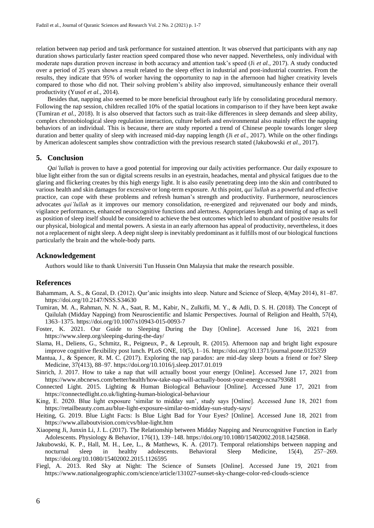relation between nap period and task performance for sustained attention. It was observed that participants with any nap duration shows particularly faster reaction speed compared those who never napped. Nevertheless, only individual with moderate naps duration proven increase in both accuracy and attention task's speed (Ji *et al.,* 2017). A study conducted over a period of 25 years shows a result related to the sleep effect in industrial and post-industrial countries. From the results, they indicate that 95% of worker having the opportunity to nap in the afternoon had higher creativity levels compared to those who did not. Their solving problem's ability also improved, simultaneously enhance their overall productivity (Yusof *et al.,* 2014).

Besides that, napping also seemed to be more beneficial throughout early life by consolidating procedural memory. Following the nap session, children recalled 10% of the spatial locations in comparison to if they have been kept awake (Tumiran *et al.,* 2018). It is also observed that factors such as trait-like differences in sleep demands and sleep ability, complex chronobiological sleep regulation interaction, culture beliefs and environmental also mainly effect the napping behaviors of an individual. This is because, there are study reported a trend of Chinese people towards longer sleep duration and better quality of sleep with increased mid-day napping length (Ji *et al.,* 2017). While on the other findings by American adolescent samples show contradiction with the previous research stated (Jakubowski *et al.,* 2017).

### **5. Conclusion**

*Qai'lullah* is proven to have a good potential for improving our daily activities performance. Our daily exposure to blue light either from the sun or digital screens results in an eyestrain, headaches, mental and physical fatigues due to the glaring and flickering creates by this high energy light. It is also easily penetrating deep into the skin and contributed to various health and skin damages for excessive or long-term exposure. At this point, *qai'lullah* as a powerful and effective practice, can cope with these problems and refresh human's strength and productivity. Furthermore, neurosciences advocates *qai'lullah* as it improves our memory consolidation, re-energized and rejuvenated our body and minds, vigilance performances, enhanced neurocognitive functions and alertness. Appropriates length and timing of nap as well as position of sleep itself should be considered to achieve the best outcomes which led to abundant of positive results for our physical, biological and mental powers. A siesta in an early afternoon has appeal of productivity, nevertheless, it does not a replacement of night sleep. A deep night sleep is inevitably predominant as it fulfills most of our biological functions particularly the brain and the whole-body parts.

### **Acknowledgement**

Authors would like to thank Universiti Tun Hussein Onn Malaysia that make the research possible.

#### **References**

- Bahammam, A. S., & Gozal, D. (2012). Qur'anic insights into sleep. Nature and Science of Sleep, 4(May 2014), 81–87. <https://doi.org/10.2147/NSS.S34630>
- Tumiran, M. A., Rahman, N. N. A., Saat, R. M., Kabir, N., Zulkifli, M. Y., & Adli, D. S. H. (2018). The Concept of Qailulah (Midday Napping) from Neuroscientific and Islamic Perspectives. Journal of Religion and Health, 57(4), 1363–1375.<https://doi.org/10.1007/s10943-015-0093-7>
- Foster, K. 2021. Our Guide to Sleeping During the Day [Online]. Accessed June 16, 2021 from <https://www.sleep.org/sleeping-during-the-day/>
- Slama, H., Deliens, G., Schmitz, R., Peigneux, P., & Leproult, R. (2015). Afternoon nap and bright light exposure improve cognitive flexibility post lunch. PLoS ONE, 10(5), 1–16[. https://doi.org/10.1371/journal.pone.0125359](https://doi.org/10.1371/journal.pone.0125359)
- Mantua, J., & Spencer, R. M. C. (2017). Exploring the nap paradox: are mid-day sleep bouts a friend or foe? Sleep Medicine, 37(413), 88–97.<https://doi.org/10.1016/j.sleep.2017.01.019>
- Sinrich, J. 2017. How to take a nap that will actually boost your energy [Online]. Accessed June 17, 2021 from <https://www.nbcnews.com/better/health/how-take-nap-will-actually-boost-your-energy-ncna793681>
- Connected Light. 2015. Lighting & Human Biological Behaviour [Online]. Accessed June 17, 2021 from <https://connectedlight.co.uk/lighting-human-biological-behaviour>
- King, E. 2020. Blue light exposure 'similar to midday sun', study says [Online]. Accessed June 18, 2021 from <https://retailbeauty.com.au/blue-light-exposure-similar-to-midday-sun-study-says/>
- Heiting, G. 2019. Blue Light Facts: Is Blue Light Bad for Your Eyes? [Online]. Accessed June 18, 2021 from <https://www.allaboutvision.com/cvs/blue-light.htm>
- Xiaopeng Ji, Junxin Li, J. L. (2017). The Relationship between Midday Napping and Neurocognitive Function in Early Adolescents. Physiology & Behavior, 176(1), 139–148. [https://doi.org/10.1080/15402002.2018.1425868.](https://doi.org/10.1080/15402002.2018.1425868)
- Jakubowski, K. P., Hall, M. H., Lee, L., & Matthews, K. A. (2017). Temporal relationships between napping and nocturnal sleep in healthy adolescents. Behavioral Sleep Medicine, 15(4), 257–269. <https://doi.org/10.1080/15402002.2015.1126595>
- Fiegl, A. 2013. Red Sky at Night: The Science of Sunsets [Online]. Accessed June 19, 2021 from <https://www.nationalgeographic.com/science/article/131027-sunset-sky-change-color-red-clouds-science>